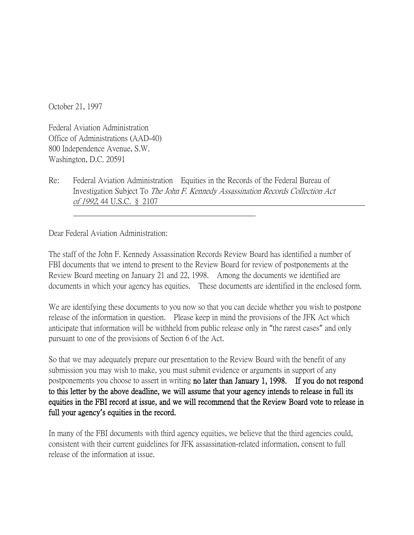October 21, 1997

Federal Aviation Administration Office of Administrations (AAD-40) 800 Independence Avenue, S.W. Washington, D.C. 20591

Re: Federal Aviation Administration Equities in the Records of the Federal Bureau of Investigation Subject To The John F. Kennedy Assassination Records Collection Act of 1992, 44 U.S.C. § 2107

Dear Federal Aviation Administration:

The staff of the John F. Kennedy Assassination Records Review Board has identified a number of FBI documents that we intend to present to the Review Board for review of postponements at the Review Board meeting on January 21 and 22, 1998. Among the documents we identified are documents in which your agency has equities. These documents are identified in the enclosed form.

We are identifying these documents to you now so that you can decide whether you wish to postpone release of the information in question. Please keep in mind the provisions of the JFK Act which anticipate that information will be withheld from public release only in "the rarest cases" and only pursuant to one of the provisions of Section 6 of the Act.

So that we may adequately prepare our presentation to the Review Board with the benefit of any submission you may wish to make, you must submit evidence or arguments in support of any postponements you choose to assert in writing no later than January 1, 1998. If you do not respond to this letter by the above deadline, we will assume that your agency intends to release in full its equities in the FBI record at issue, and we will recommend that the Review Board vote to release in full your agency**'**s equities in the record.

In many of the FBI documents with third agency equities, we believe that the third agencies could, consistent with their current guidelines for JFK assassination-related information, consent to full release of the information at issue.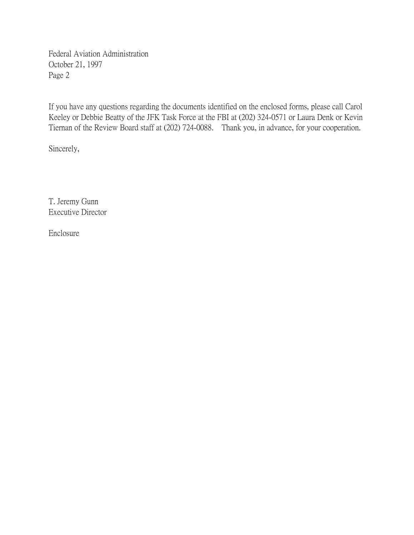Federal Aviation Administration October 21, 1997 Page 2

If you have any questions regarding the documents identified on the enclosed forms, please call Carol Keeley or Debbie Beatty of the JFK Task Force at the FBI at (202) 324-0571 or Laura Denk or Kevin Tiernan of the Review Board staff at (202) 724-0088. Thank you, in advance, for your cooperation.

Sincerely,

T. Jeremy Gunn Executive Director

Enclosure